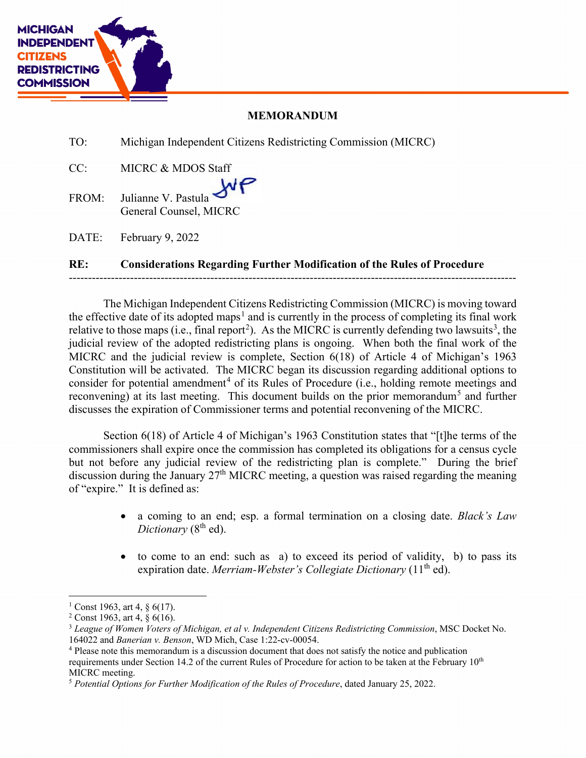

## **MEMORANDUM**

TO: Michigan Independent Citizens Redistricting Commission (MICRC)

CC: MICRC & MDOS Staff NР FROM: Julianne V. Pastula General Counsel, MICRC

DATE: February 9, 2022

## **RE: Considerations Regarding Further Modification of the Rules of Procedure**

---------------------------------------------------------------------------------------------------------------------

The Michigan Independent Citizens Redistricting Commission (MICRC) is moving toward the effective date of its adopted maps<sup>[1](#page-0-0)</sup> and is currently in the process of completing its final work relative to those maps (i.e., final report<sup>[2](#page-0-1)</sup>). As the MICRC is currently defending two lawsuits<sup>[3](#page-0-2)</sup>, the judicial review of the adopted redistricting plans is ongoing. When both the final work of the MICRC and the judicial review is complete, Section 6(18) of Article 4 of Michigan's 1963 Constitution will be activated. The MICRC began its discussion regarding additional options to consider for potential amendment<sup>[4](#page-0-3)</sup> of its Rules of Procedure (i.e., holding remote meetings and reconvening) at its last meeting. This document builds on the prior memorandum<sup>[5](#page-0-4)</sup> and further discusses the expiration of Commissioner terms and potential reconvening of the MICRC.

Section 6(18) of Article 4 of Michigan's 1963 Constitution states that "[t]he terms of the commissioners shall expire once the commission has completed its obligations for a census cycle but not before any judicial review of the redistricting plan is complete." During the brief discussion during the January 27<sup>th</sup> MICRC meeting, a question was raised regarding the meaning of "expire." It is defined as:

- a coming to an end; esp. a formal termination on a closing date. *Black's Law Dictionary* (8<sup>th</sup> ed).
- to come to an end: such as a) to exceed its period of validity, b) to pass its expiration date. *Merriam-Webster's Collegiate Dictionary* (11<sup>th</sup> ed).

<span id="page-0-0"></span> $1 \text{Const } 1963$ , art 4, 8 6(17).

<span id="page-0-1"></span> $2$  Const 1963, art 4,  $\S$  6(16).

<span id="page-0-2"></span><sup>3</sup> *League of Women Voters of Michigan, et al v. Independent Citizens Redistricting Commission*, MSC Docket No. 164022 and *Banerian v. Benson*, WD Mich, Case 1:22-cv-00054.

<span id="page-0-3"></span><sup>4</sup> Please note this memorandum is a discussion document that does not satisfy the notice and publication requirements under Section 14.2 of the current Rules of Procedure for action to be taken at the February 10<sup>th</sup> MICRC meeting.

<span id="page-0-4"></span><sup>5</sup> *Potential Options for Further Modification of the Rules of Procedure*, dated January 25, 2022.